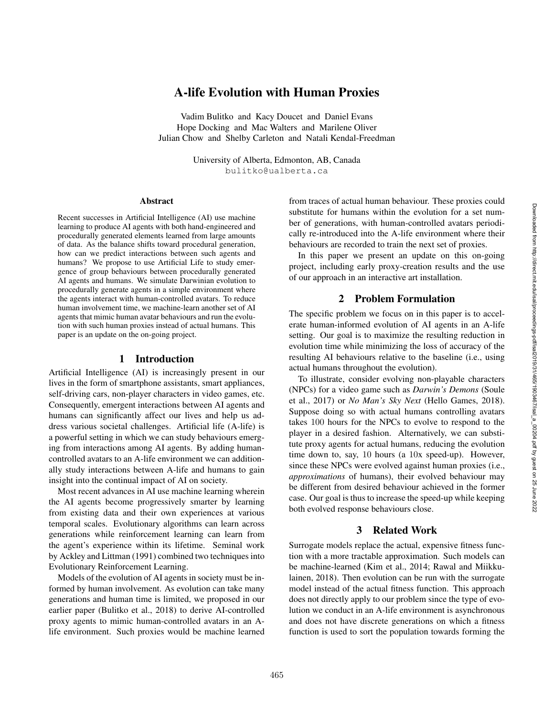# A-life Evolution with Human Proxies

Vadim Bulitko and Kacy Doucet and Daniel Evans Hope Docking and Mac Walters and Marilene Oliver Julian Chow and Shelby Carleton and Natali Kendal-Freedman

> University of Alberta, Edmonton, AB, Canada bulitko@ualberta.ca

#### Abstract

Recent successes in Artificial Intelligence (AI) use machine learning to produce AI agents with both hand-engineered and procedurally generated elements learned from large amounts of data. As the balance shifts toward procedural generation, how can we predict interactions between such agents and humans? We propose to use Artificial Life to study emergence of group behaviours between procedurally generated AI agents and humans. We simulate Darwinian evolution to procedurally generate agents in a simple environment where the agents interact with human-controlled avatars. To reduce human involvement time, we machine-learn another set of AI agents that mimic human avatar behaviours and run the evolution with such human proxies instead of actual humans. This paper is an update on the on-going project.

#### 1 Introduction

Artificial Intelligence (AI) is increasingly present in our lives in the form of smartphone assistants, smart appliances, self-driving cars, non-player characters in video games, etc. Consequently, emergent interactions between AI agents and humans can significantly affect our lives and help us address various societal challenges. Artificial life (A-life) is a powerful setting in which we can study behaviours emerging from interactions among AI agents. By adding humancontrolled avatars to an A-life environment we can additionally study interactions between A-life and humans to gain insight into the continual impact of AI on society.

Most recent advances in AI use machine learning wherein the AI agents become progressively smarter by learning from existing data and their own experiences at various temporal scales. Evolutionary algorithms can learn across generations while reinforcement learning can learn from the agent's experience within its lifetime. Seminal work by Ackley and Littman (1991) combined two techniques into Evolutionary Reinforcement Learning.

Models of the evolution of AI agents in society must be informed by human involvement. As evolution can take many generations and human time is limited, we proposed in our earlier paper (Bulitko et al., 2018) to derive AI-controlled proxy agents to mimic human-controlled avatars in an Alife environment. Such proxies would be machine learned from traces of actual human behaviour. These proxies could substitute for humans within the evolution for a set number of generations, with human-controlled avatars periodically re-introduced into the A-life environment where their behaviours are recorded to train the next set of proxies.

In this paper we present an update on this on-going project, including early proxy-creation results and the use of our approach in an interactive art installation.

# 2 Problem Formulation

The specific problem we focus on in this paper is to accelerate human-informed evolution of AI agents in an A-life setting. Our goal is to maximize the resulting reduction in evolution time while minimizing the loss of accuracy of the resulting AI behaviours relative to the baseline (i.e., using actual humans throughout the evolution).

To illustrate, consider evolving non-playable characters (NPCs) for a video game such as *Darwin's Demons* (Soule et al., 2017) or *No Man's Sky Next* (Hello Games, 2018). Suppose doing so with actual humans controlling avatars takes 100 hours for the NPCs to evolve to respond to the player in a desired fashion. Alternatively, we can substitute proxy agents for actual humans, reducing the evolution time down to, say, 10 hours (a 10x speed-up). However, since these NPCs were evolved against human proxies (i.e., *approximations* of humans), their evolved behaviour may be different from desired behaviour achieved in the former case. Our goal is thus to increase the speed-up while keeping both evolved response behaviours close.

# 3 Related Work

Surrogate models replace the actual, expensive fitness function with a more tractable approximation. Such models can be machine-learned (Kim et al., 2014; Rawal and Miikkulainen, 2018). Then evolution can be run with the surrogate model instead of the actual fitness function. This approach does not directly apply to our problem since the type of evolution we conduct in an A-life environment is asynchronous and does not have discrete generations on which a fitness function is used to sort the population towards forming the